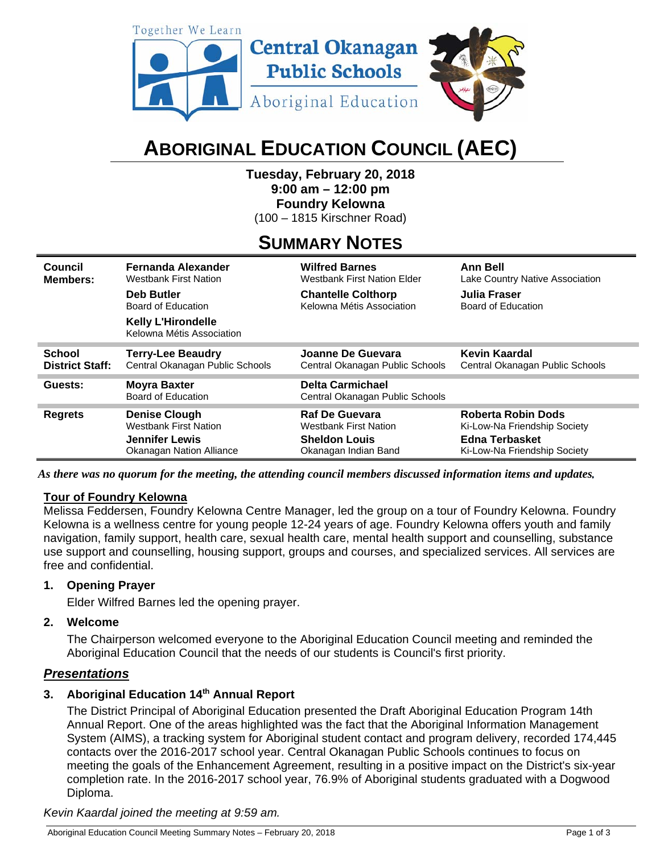

# **ABORIGINAL EDUCATION COUNCIL (AEC)**

**Tuesday, February 20, 2018 9:00 am – 12:00 pm Foundry Kelowna**  (100 – 1815 Kirschner Road)

# **SUMMARY NOTES**

| Council                | <b>Fernanda Alexander</b>                              | <b>Wilfred Barnes</b>                                      | <b>Ann Bell</b>                 |
|------------------------|--------------------------------------------------------|------------------------------------------------------------|---------------------------------|
| Members:               | <b>Westbank First Nation</b>                           | <b>Westbank First Nation Elder</b>                         | Lake Country Native Association |
|                        | <b>Deb Butler</b>                                      | <b>Chantelle Colthorp</b>                                  | Julia Fraser                    |
|                        | Board of Education                                     | Kelowna Métis Association                                  | Board of Education              |
|                        | <b>Kelly L'Hirondelle</b><br>Kelowna Métis Association |                                                            |                                 |
| <b>School</b>          | <b>Terry-Lee Beaudry</b>                               | Joanne De Guevara                                          | Kevin Kaardal                   |
| <b>District Staff:</b> | Central Okanagan Public Schools                        | Central Okanagan Public Schools                            | Central Okanagan Public Schools |
| Guests:                | <b>Moyra Baxter</b><br>Board of Education              | <b>Delta Carmichael</b><br>Central Okanagan Public Schools |                                 |
| <b>Regrets</b>         | <b>Denise Clough</b>                                   | Raf De Guevara                                             | <b>Roberta Robin Dods</b>       |
|                        | <b>Westbank First Nation</b>                           | <b>Westbank First Nation</b>                               | Ki-Low-Na Friendship Society    |
|                        | <b>Jennifer Lewis</b>                                  | <b>Sheldon Louis</b>                                       | <b>Edna Terbasket</b>           |
|                        | <b>Okanagan Nation Alliance</b>                        | Okanagan Indian Band                                       | Ki-Low-Na Friendship Society    |

*As there was no quorum for the meeting, the attending council members discussed information items and updates.*

#### **Tour of Foundry Kelowna**

Melissa Feddersen, Foundry Kelowna Centre Manager, led the group on a tour of Foundry Kelowna. Foundry Kelowna is a wellness centre for young people 12-24 years of age. Foundry Kelowna offers youth and family navigation, family support, health care, sexual health care, mental health support and counselling, substance use support and counselling, housing support, groups and courses, and specialized services. All services are free and confidential.

#### **1. Opening Prayer**

Elder Wilfred Barnes led the opening prayer.

#### **2. Welcome**

The Chairperson welcomed everyone to the Aboriginal Education Council meeting and reminded the Aboriginal Education Council that the needs of our students is Council's first priority.

#### *Presentations*

### **3. Aboriginal Education 14th Annual Report**

The District Principal of Aboriginal Education presented the Draft Aboriginal Education Program 14th Annual Report. One of the areas highlighted was the fact that the Aboriginal Information Management System (AIMS), a tracking system for Aboriginal student contact and program delivery, recorded 174,445 contacts over the 2016-2017 school year. Central Okanagan Public Schools continues to focus on meeting the goals of the Enhancement Agreement, resulting in a positive impact on the District's six-year completion rate. In the 2016-2017 school year, 76.9% of Aboriginal students graduated with a Dogwood Diploma.

*Kevin Kaardal joined the meeting at 9:59 am.*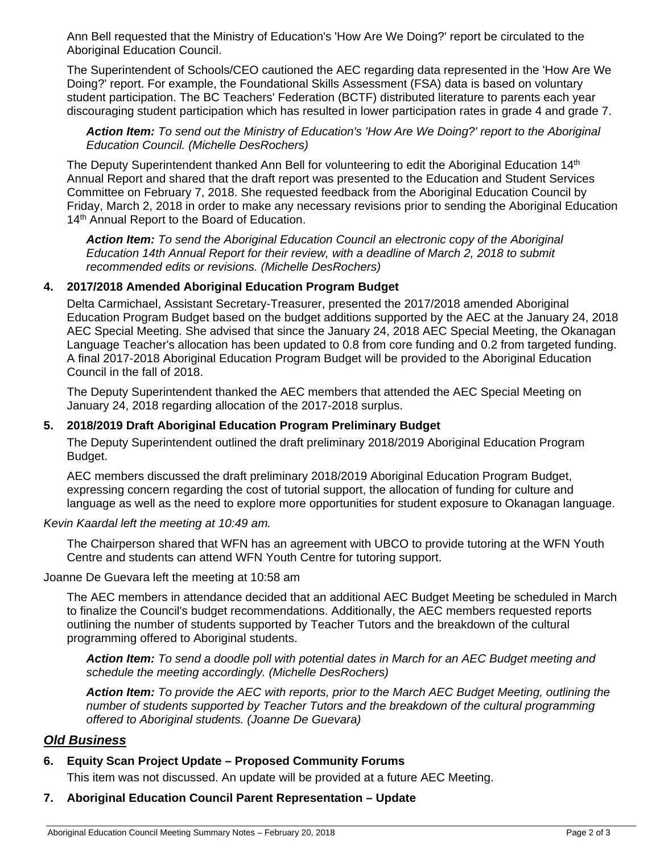Ann Bell requested that the Ministry of Education's 'How Are We Doing?' report be circulated to the Aboriginal Education Council.

The Superintendent of Schools/CEO cautioned the AEC regarding data represented in the 'How Are We Doing?' report. For example, the Foundational Skills Assessment (FSA) data is based on voluntary student participation. The BC Teachers' Federation (BCTF) distributed literature to parents each year discouraging student participation which has resulted in lower participation rates in grade 4 and grade 7.

*Action Item: To send out the Ministry of Education's 'How Are We Doing?' report to the Aboriginal Education Council. (Michelle DesRochers)* 

The Deputy Superintendent thanked Ann Bell for volunteering to edit the Aboriginal Education 14<sup>th</sup> Annual Report and shared that the draft report was presented to the Education and Student Services Committee on February 7, 2018. She requested feedback from the Aboriginal Education Council by Friday, March 2, 2018 in order to make any necessary revisions prior to sending the Aboriginal Education 14<sup>th</sup> Annual Report to the Board of Education.

*Action Item: To send the Aboriginal Education Council an electronic copy of the Aboriginal Education 14th Annual Report for their review, with a deadline of March 2, 2018 to submit recommended edits or revisions. (Michelle DesRochers)* 

#### **4. 2017/2018 Amended Aboriginal Education Program Budget**

Delta Carmichael, Assistant Secretary-Treasurer, presented the 2017/2018 amended Aboriginal Education Program Budget based on the budget additions supported by the AEC at the January 24, 2018 AEC Special Meeting. She advised that since the January 24, 2018 AEC Special Meeting, the Okanagan Language Teacher's allocation has been updated to 0.8 from core funding and 0.2 from targeted funding. A final 2017-2018 Aboriginal Education Program Budget will be provided to the Aboriginal Education Council in the fall of 2018.

The Deputy Superintendent thanked the AEC members that attended the AEC Special Meeting on January 24, 2018 regarding allocation of the 2017-2018 surplus.

#### **5. 2018/2019 Draft Aboriginal Education Program Preliminary Budget**

The Deputy Superintendent outlined the draft preliminary 2018/2019 Aboriginal Education Program Budget.

AEC members discussed the draft preliminary 2018/2019 Aboriginal Education Program Budget, expressing concern regarding the cost of tutorial support, the allocation of funding for culture and language as well as the need to explore more opportunities for student exposure to Okanagan language.

#### *Kevin Kaardal left the meeting at 10:49 am.*

The Chairperson shared that WFN has an agreement with UBCO to provide tutoring at the WFN Youth Centre and students can attend WFN Youth Centre for tutoring support.

Joanne De Guevara left the meeting at 10:58 am

The AEC members in attendance decided that an additional AEC Budget Meeting be scheduled in March to finalize the Council's budget recommendations. Additionally, the AEC members requested reports outlining the number of students supported by Teacher Tutors and the breakdown of the cultural programming offered to Aboriginal students.

*Action Item: To send a doodle poll with potential dates in March for an AEC Budget meeting and schedule the meeting accordingly. (Michelle DesRochers)* 

*Action Item: To provide the AEC with reports, prior to the March AEC Budget Meeting, outlining the number of students supported by Teacher Tutors and the breakdown of the cultural programming offered to Aboriginal students. (Joanne De Guevara)* 

#### *Old Business*

# **6. Equity Scan Project Update – Proposed Community Forums**

This item was not discussed. An update will be provided at a future AEC Meeting.

# **7. Aboriginal Education Council Parent Representation – Update**